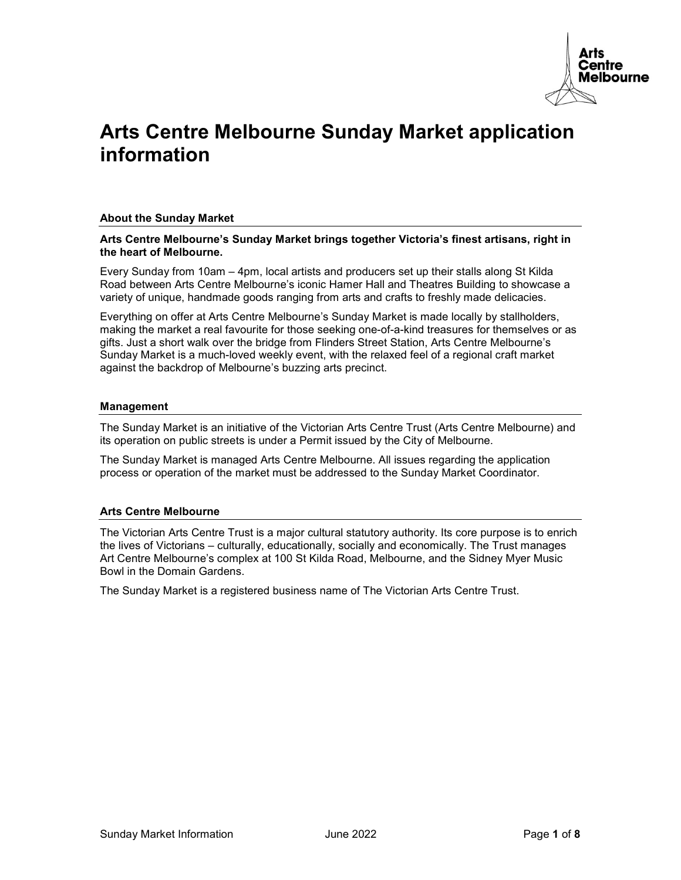

# Arts Centre Melbourne Sunday Market application information

# About the Sunday Market

#### Arts Centre Melbourne's Sunday Market brings together Victoria's finest artisans, right in the heart of Melbourne.

Every Sunday from 10am – 4pm, local artists and producers set up their stalls along St Kilda Road between Arts Centre Melbourne's iconic Hamer Hall and Theatres Building to showcase a variety of unique, handmade goods ranging from arts and crafts to freshly made delicacies.

Everything on offer at Arts Centre Melbourne's Sunday Market is made locally by stallholders, making the market a real favourite for those seeking one-of-a-kind treasures for themselves or as gifts. Just a short walk over the bridge from Flinders Street Station, Arts Centre Melbourne's Sunday Market is a much-loved weekly event, with the relaxed feel of a regional craft market against the backdrop of Melbourne's buzzing arts precinct.

#### Management

The Sunday Market is an initiative of the Victorian Arts Centre Trust (Arts Centre Melbourne) and its operation on public streets is under a Permit issued by the City of Melbourne.

The Sunday Market is managed Arts Centre Melbourne. All issues regarding the application process or operation of the market must be addressed to the Sunday Market Coordinator.

# Arts Centre Melbourne

The Victorian Arts Centre Trust is a major cultural statutory authority. Its core purpose is to enrich the lives of Victorians – culturally, educationally, socially and economically. The Trust manages Art Centre Melbourne's complex at 100 St Kilda Road, Melbourne, and the Sidney Myer Music Bowl in the Domain Gardens.

The Sunday Market is a registered business name of The Victorian Arts Centre Trust.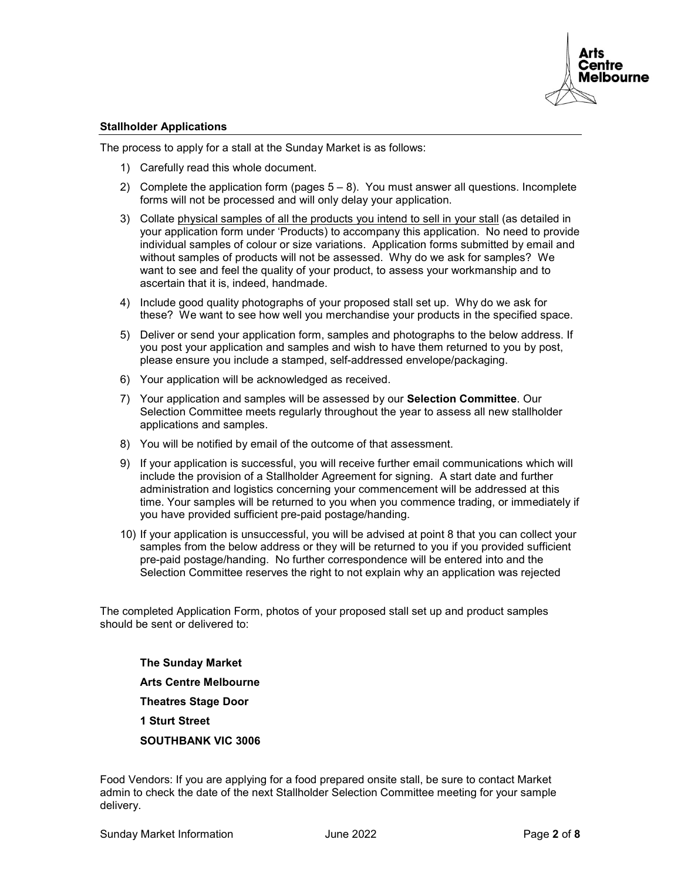

#### Stallholder Applications

The process to apply for a stall at the Sunday Market is as follows:

- 1) Carefully read this whole document.
- 2) Complete the application form (pages  $5-8$ ). You must answer all questions. Incomplete forms will not be processed and will only delay your application.
- 3) Collate physical samples of all the products you intend to sell in your stall (as detailed in your application form under 'Products) to accompany this application. No need to provide individual samples of colour or size variations. Application forms submitted by email and without samples of products will not be assessed. Why do we ask for samples? We want to see and feel the quality of your product, to assess your workmanship and to ascertain that it is, indeed, handmade.
- 4) Include good quality photographs of your proposed stall set up. Why do we ask for these? We want to see how well you merchandise your products in the specified space.
- 5) Deliver or send your application form, samples and photographs to the below address. If you post your application and samples and wish to have them returned to you by post, please ensure you include a stamped, self-addressed envelope/packaging.
- 6) Your application will be acknowledged as received.
- 7) Your application and samples will be assessed by our Selection Committee. Our Selection Committee meets regularly throughout the year to assess all new stallholder applications and samples.
- 8) You will be notified by email of the outcome of that assessment.
- 9) If your application is successful, you will receive further email communications which will include the provision of a Stallholder Agreement for signing. A start date and further administration and logistics concerning your commencement will be addressed at this time. Your samples will be returned to you when you commence trading, or immediately if you have provided sufficient pre-paid postage/handing.
- 10) If your application is unsuccessful, you will be advised at point 8 that you can collect your samples from the below address or they will be returned to you if you provided sufficient pre-paid postage/handing. No further correspondence will be entered into and the Selection Committee reserves the right to not explain why an application was rejected

The completed Application Form, photos of your proposed stall set up and product samples should be sent or delivered to:

The Sunday Market Arts Centre Melbourne Theatres Stage Door 1 Sturt Street SOUTHBANK VIC 3006

Food Vendors: If you are applying for a food prepared onsite stall, be sure to contact Market admin to check the date of the next Stallholder Selection Committee meeting for your sample delivery.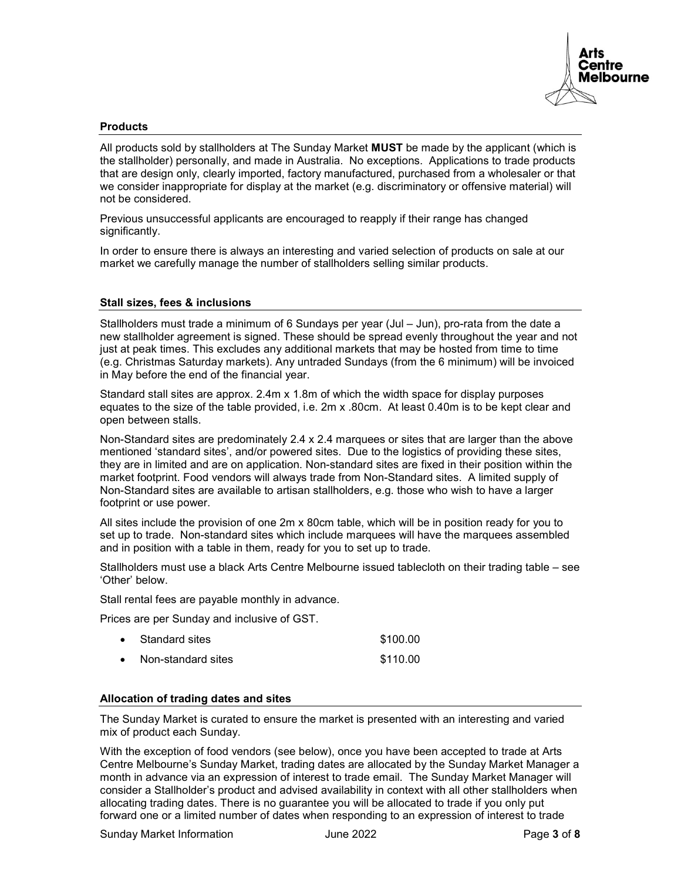

#### **Products**

All products sold by stallholders at The Sunday Market MUST be made by the applicant (which is the stallholder) personally, and made in Australia. No exceptions. Applications to trade products that are design only, clearly imported, factory manufactured, purchased from a wholesaler or that we consider inappropriate for display at the market (e.g. discriminatory or offensive material) will not be considered.

Previous unsuccessful applicants are encouraged to reapply if their range has changed significantly.

In order to ensure there is always an interesting and varied selection of products on sale at our market we carefully manage the number of stallholders selling similar products.

#### Stall sizes, fees & inclusions

Stallholders must trade a minimum of 6 Sundays per year (Jul – Jun), pro-rata from the date a new stallholder agreement is signed. These should be spread evenly throughout the year and not just at peak times. This excludes any additional markets that may be hosted from time to time (e.g. Christmas Saturday markets). Any untraded Sundays (from the 6 minimum) will be invoiced in May before the end of the financial year.

Standard stall sites are approx. 2.4m x 1.8m of which the width space for display purposes equates to the size of the table provided, i.e. 2m x .80cm. At least 0.40m is to be kept clear and open between stalls.

Non-Standard sites are predominately 2.4 x 2.4 marquees or sites that are larger than the above mentioned 'standard sites', and/or powered sites. Due to the logistics of providing these sites, they are in limited and are on application. Non-standard sites are fixed in their position within the market footprint. Food vendors will always trade from Non-Standard sites. A limited supply of Non-Standard sites are available to artisan stallholders, e.g. those who wish to have a larger footprint or use power.

All sites include the provision of one 2m x 80cm table, which will be in position ready for you to set up to trade. Non-standard sites which include marquees will have the marquees assembled and in position with a table in them, ready for you to set up to trade.

Stallholders must use a black Arts Centre Melbourne issued tablecloth on their trading table – see 'Other' below.

Stall rental fees are payable monthly in advance.

Prices are per Sunday and inclusive of GST.

| Standard sites     | \$100.00 |
|--------------------|----------|
| Non-standard sites | \$110.00 |

#### Allocation of trading dates and sites

The Sunday Market is curated to ensure the market is presented with an interesting and varied mix of product each Sunday.

With the exception of food vendors (see below), once you have been accepted to trade at Arts Centre Melbourne's Sunday Market, trading dates are allocated by the Sunday Market Manager a month in advance via an expression of interest to trade email. The Sunday Market Manager will consider a Stallholder's product and advised availability in context with all other stallholders when allocating trading dates. There is no guarantee you will be allocated to trade if you only put forward one or a limited number of dates when responding to an expression of interest to trade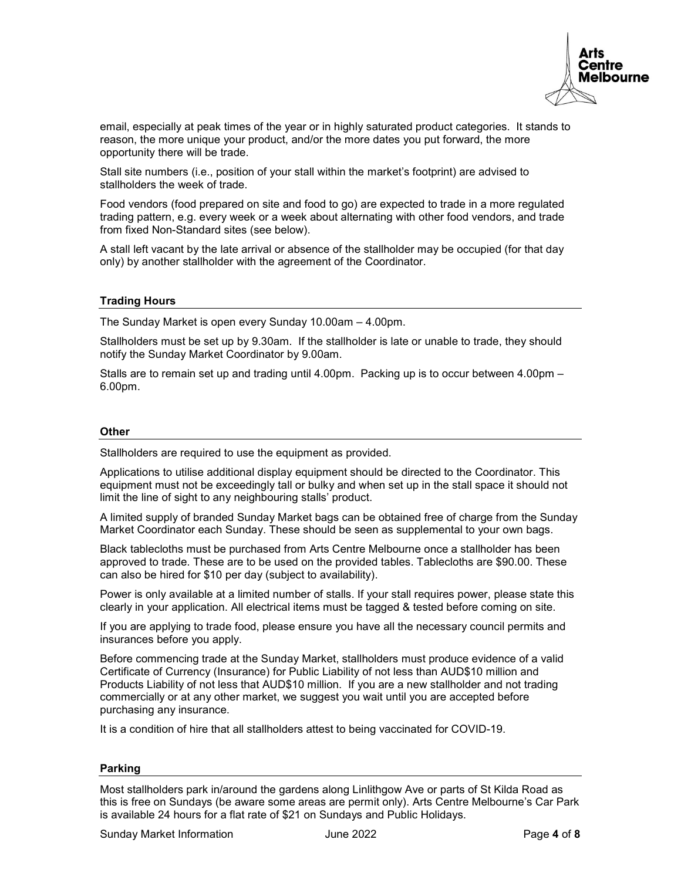

email, especially at peak times of the year or in highly saturated product categories. It stands to reason, the more unique your product, and/or the more dates you put forward, the more opportunity there will be trade.

Stall site numbers (i.e., position of your stall within the market's footprint) are advised to stallholders the week of trade.

Food vendors (food prepared on site and food to go) are expected to trade in a more regulated trading pattern, e.g. every week or a week about alternating with other food vendors, and trade from fixed Non-Standard sites (see below).

A stall left vacant by the late arrival or absence of the stallholder may be occupied (for that day only) by another stallholder with the agreement of the Coordinator.

#### Trading Hours

The Sunday Market is open every Sunday 10.00am – 4.00pm.

Stallholders must be set up by 9.30am. If the stallholder is late or unable to trade, they should notify the Sunday Market Coordinator by 9.00am.

Stalls are to remain set up and trading until 4.00pm. Packing up is to occur between 4.00pm – 6.00pm.

#### **Other**

Stallholders are required to use the equipment as provided.

Applications to utilise additional display equipment should be directed to the Coordinator. This equipment must not be exceedingly tall or bulky and when set up in the stall space it should not limit the line of sight to any neighbouring stalls' product.

A limited supply of branded Sunday Market bags can be obtained free of charge from the Sunday Market Coordinator each Sunday. These should be seen as supplemental to your own bags.

Black tablecloths must be purchased from Arts Centre Melbourne once a stallholder has been approved to trade. These are to be used on the provided tables. Tablecloths are \$90.00. These can also be hired for \$10 per day (subject to availability).

Power is only available at a limited number of stalls. If your stall requires power, please state this clearly in your application. All electrical items must be tagged & tested before coming on site.

If you are applying to trade food, please ensure you have all the necessary council permits and insurances before you apply.

Before commencing trade at the Sunday Market, stallholders must produce evidence of a valid Certificate of Currency (Insurance) for Public Liability of not less than AUD\$10 million and Products Liability of not less that AUD\$10 million. If you are a new stallholder and not trading commercially or at any other market, we suggest you wait until you are accepted before purchasing any insurance.

It is a condition of hire that all stallholders attest to being vaccinated for COVID-19.

# Parking

Most stallholders park in/around the gardens along Linlithgow Ave or parts of St Kilda Road as this is free on Sundays (be aware some areas are permit only). Arts Centre Melbourne's Car Park is available 24 hours for a flat rate of \$21 on Sundays and Public Holidays.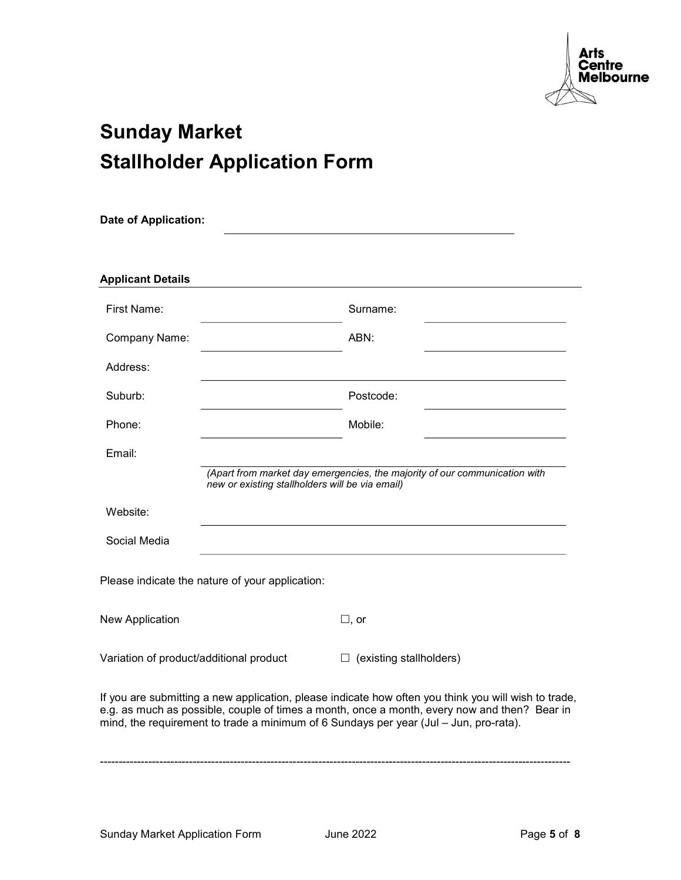

# Sunday Market Stallholder Application Form

| <b>Date of Application:</b>                                                                                                                                                                                                                                                                   |                                                 |                                                                            |  |  |  |
|-----------------------------------------------------------------------------------------------------------------------------------------------------------------------------------------------------------------------------------------------------------------------------------------------|-------------------------------------------------|----------------------------------------------------------------------------|--|--|--|
|                                                                                                                                                                                                                                                                                               |                                                 |                                                                            |  |  |  |
| <b>Applicant Details</b>                                                                                                                                                                                                                                                                      |                                                 |                                                                            |  |  |  |
| First Name:                                                                                                                                                                                                                                                                                   |                                                 | Surname:                                                                   |  |  |  |
| Company Name:                                                                                                                                                                                                                                                                                 |                                                 | ABN:                                                                       |  |  |  |
| Address:                                                                                                                                                                                                                                                                                      |                                                 |                                                                            |  |  |  |
| Suburb:                                                                                                                                                                                                                                                                                       |                                                 | Postcode:                                                                  |  |  |  |
| Phone:                                                                                                                                                                                                                                                                                        |                                                 | Mobile:                                                                    |  |  |  |
| Email:                                                                                                                                                                                                                                                                                        |                                                 |                                                                            |  |  |  |
|                                                                                                                                                                                                                                                                                               | new or existing stallholders will be via email) | (Apart from market day emergencies, the majority of our communication with |  |  |  |
| Website:                                                                                                                                                                                                                                                                                      |                                                 |                                                                            |  |  |  |
| Social Media                                                                                                                                                                                                                                                                                  |                                                 |                                                                            |  |  |  |
|                                                                                                                                                                                                                                                                                               | Please indicate the nature of your application: |                                                                            |  |  |  |
| New Application                                                                                                                                                                                                                                                                               |                                                 | $\square$ , or                                                             |  |  |  |
| Variation of product/additional product                                                                                                                                                                                                                                                       |                                                 | $\Box$ (existing stallholders)                                             |  |  |  |
| If you are submitting a new application, please indicate how often you think you will wish to trade,<br>e.g. as much as possible, couple of times a month, once a month, every now and then? Bear in<br>mind, the requirement to trade a minimum of 6 Sundays per year (Jul - Jun, pro-rata). |                                                 |                                                                            |  |  |  |

-------------------------------------------------------------------------------------------------------------------------------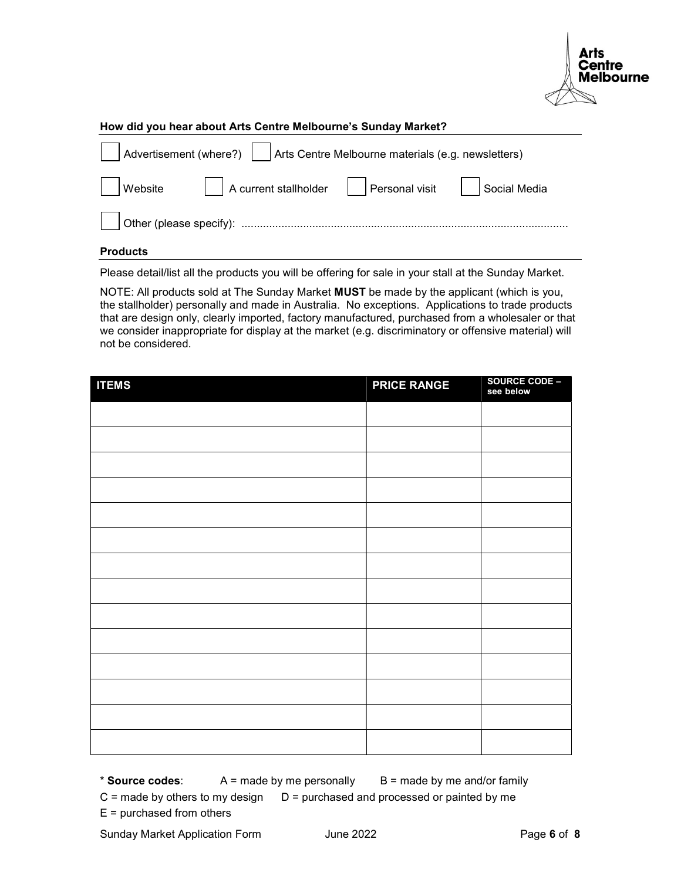

#### How did you hear about Arts Centre Melbourne's Sunday Market?

| Advertisement (where?) $\ \cdot\ $ Arts Centre Melbourne materials (e.g. newsletters) |                                                                       |  |  |  |  |
|---------------------------------------------------------------------------------------|-----------------------------------------------------------------------|--|--|--|--|
|                                                                                       | │ │Website │ │A current stallholder │ │Personal visit │ │Social Media |  |  |  |  |
|                                                                                       |                                                                       |  |  |  |  |

#### Products

Please detail/list all the products you will be offering for sale in your stall at the Sunday Market.

NOTE: All products sold at The Sunday Market MUST be made by the applicant (which is you, the stallholder) personally and made in Australia. No exceptions. Applications to trade products that are design only, clearly imported, factory manufactured, purchased from a wholesaler or that we consider inappropriate for display at the market (e.g. discriminatory or offensive material) will not be considered.

| <b>ITEMS</b> | <b>PRICE RANGE</b> | SOURCE CODE -<br>see below |
|--------------|--------------------|----------------------------|
|              |                    |                            |
|              |                    |                            |
|              |                    |                            |
|              |                    |                            |
|              |                    |                            |
|              |                    |                            |
|              |                    |                            |
|              |                    |                            |
|              |                    |                            |
|              |                    |                            |
|              |                    |                            |
|              |                    |                            |
|              |                    |                            |
|              |                    |                            |

\* **Source codes:**  $A =$  made by me personally  $B =$  made by me and/or family

 $C$  = made by others to my design  $D$  = purchased and processed or painted by me

 $E =$  purchased from others

Sunday Market Application Form June 2022 **Page 6 of 8**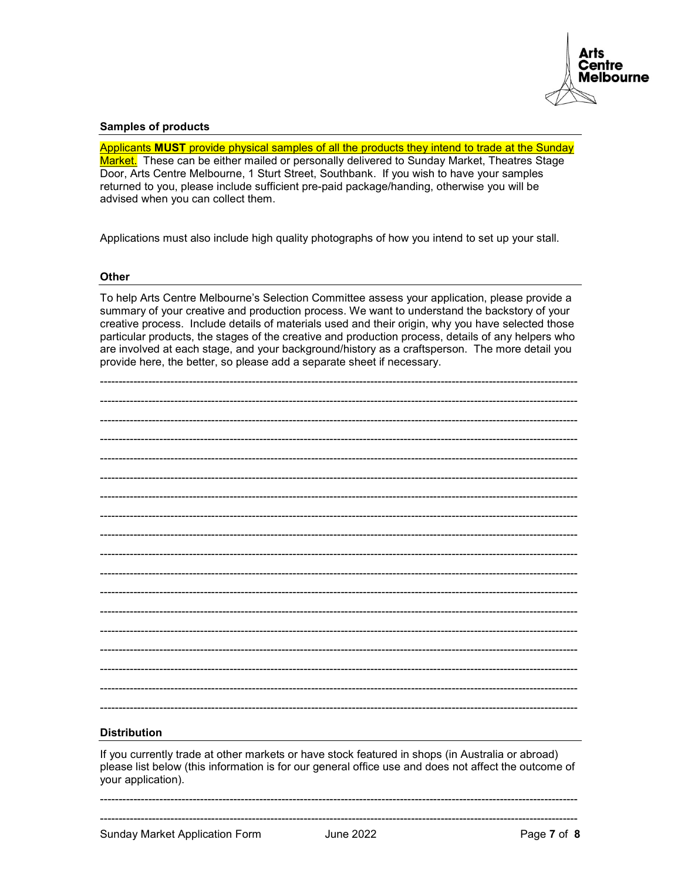

#### **Samples of products**

Applicants MUST provide physical samples of all the products they intend to trade at the Sunday Market. These can be either mailed or personally delivered to Sunday Market, Theatres Stage Door, Arts Centre Melbourne, 1 Sturt Street, Southbank. If you wish to have your samples returned to you, please include sufficient pre-paid package/handing, otherwise you will be advised when you can collect them.

Applications must also include high quality photographs of how you intend to set up your stall.

#### **Other**

To help Arts Centre Melbourne's Selection Committee assess your application, please provide a summary of your creative and production process. We want to understand the backstory of your creative process. Include details of materials used and their origin, why you have selected those particular products, the stages of the creative and production process, details of any helpers who are involved at each stage, and your background/history as a craftsperson. The more detail you provide here, the better, so please add a separate sheet if necessary.

# **Distribution**

If you currently trade at other markets or have stock featured in shops (in Australia or abroad) please list below (this information is for our general office use and does not affect the outcome of your application).